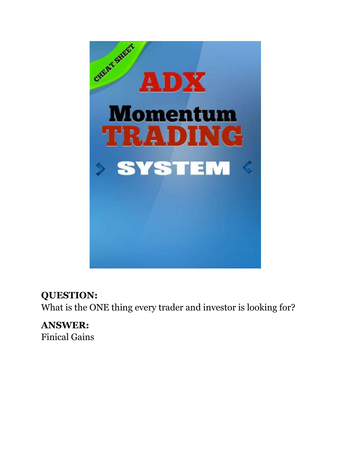

### **QUESTION:**

What is the ONE thing every trader and investor is looking for?

**ANSWER:**  Finical Gains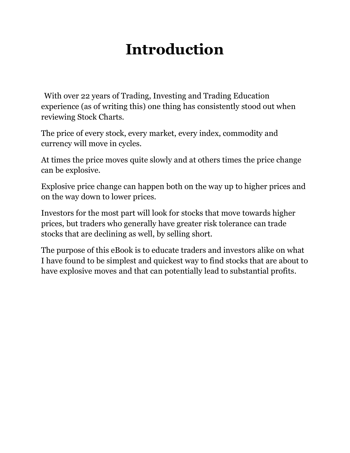## **Introduction**

 With over 22 years of Trading, Investing and Trading Education experience (as of writing this) one thing has consistently stood out when reviewing Stock Charts.

The price of every stock, every market, every index, commodity and currency will move in cycles.

At times the price moves quite slowly and at others times the price change can be explosive.

Explosive price change can happen both on the way up to higher prices and on the way down to lower prices.

Investors for the most part will look for stocks that move towards higher prices, but traders who generally have greater risk tolerance can trade stocks that are declining as well, by selling short.

The purpose of this eBook is to educate traders and investors alike on what I have found to be simplest and quickest way to find stocks that are about to have explosive moves and that can potentially lead to substantial profits.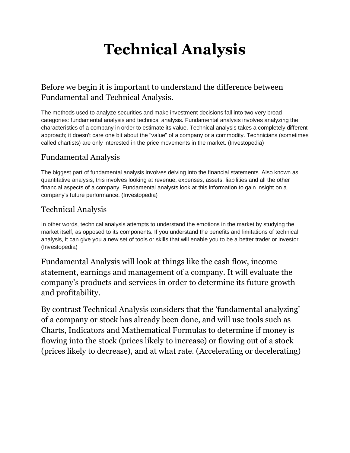## **Technical Analysis**

#### Before we begin it is important to understand the difference between Fundamental and Technical Analysis.

The methods used to analyze securities and make investment decisions fall into two very broad categories: fundamental analysis and technical analysis. Fundamental analysis involves analyzing the characteristics of a company in order to estimate its value. Technical analysis takes a completely different approach; it doesn't care one bit about the "value" of a company or a commodity. Technicians (sometimes called chartists) are only interested in the price movements in the market. (Investopedia)

#### Fundamental Analysis

The biggest part of fundamental analysis involves delving into the financial statements. Also known as quantitative analysis, this involves looking at revenue, expenses, assets, liabilities and all the other financial aspects of a company. Fundamental analysts look at this information to gain insight on a company's future performance. (Investopedia)

#### Technical Analysis

In other words, technical analysis attempts to understand the emotions in the market by studying the market itself, as opposed to its components. If you understand the benefits and limitations of technical analysis, it can give you a new set of tools or skills that will enable you to be a better trader or investor. (Investopedia)

Fundamental Analysis will look at things like the cash flow, income statement, earnings and management of a company. It will evaluate the company's products and services in order to determine its future growth and profitability.

By contrast Technical Analysis considers that the 'fundamental analyzing' of a company or stock has already been done, and will use tools such as Charts, Indicators and Mathematical Formulas to determine if money is flowing into the stock (prices likely to increase) or flowing out of a stock (prices likely to decrease), and at what rate. (Accelerating or decelerating)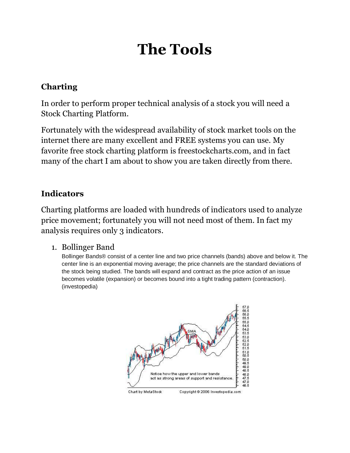## **The Tools**

#### **Charting**

In order to perform proper technical analysis of a stock you will need a Stock Charting Platform.

Fortunately with the widespread availability of stock market tools on the internet there are many excellent and FREE systems you can use. My favorite free stock charting platform is freestockcharts.com, and in fact many of the chart I am about to show you are taken directly from there.

#### **Indicators**

Charting platforms are loaded with hundreds of indicators used to analyze price movement; fortunately you will not need most of them. In fact my analysis requires only 3 indicators.

#### 1. Bollinger Band

Bollinger Bands® consist of a center line and two price channels (bands) above and below it. The center line is an exponential moving average; the price channels are the standard deviations of the stock being studied. The bands will expand and contract as the price action of an issue becomes volatile (expansion) or becomes bound into a tight trading pattern (contraction). (investopedia)

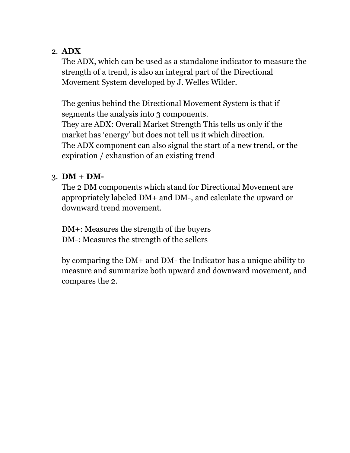#### 2. **ADX**

The ADX, which can be used as a standalone indicator to measure the strength of a trend, is also an integral part of the Directional Movement System developed by J. Welles Wilder.

The genius behind the Directional Movement System is that if segments the analysis into 3 components. They are ADX: Overall Market Strength This tells us only if the market has 'energy' but does not tell us it which direction. The ADX component can also signal the start of a new trend, or the expiration / exhaustion of an existing trend

#### $3.$  **DM** + **DM**-

The 2 DM components which stand for Directional Movement are appropriately labeled DM+ and DM-, and calculate the upward or downward trend movement.

DM+: Measures the strength of the buyers DM-: Measures the strength of the sellers

by comparing the DM+ and DM- the Indicator has a unique ability to measure and summarize both upward and downward movement, and compares the 2.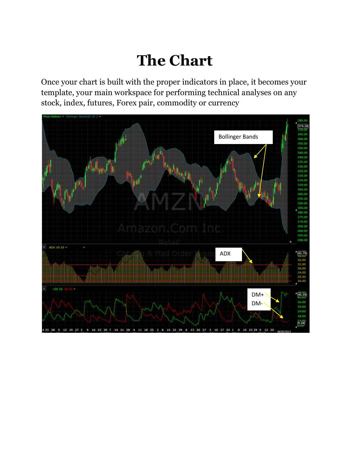## **The Chart**

Once your chart is built with the proper indicators in place, it becomes your template, your main workspace for performing technical analyses on any stock, index, futures, Forex pair, commodity or currency

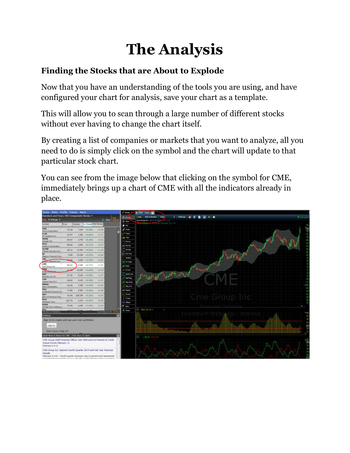## **The Analysis**

#### **Finding the Stocks that are About to Explode**

Now that you have an understanding of the tools you are using, and have configured your chart for analysis, save your chart as a template.

This will allow you to scan through a large number of different stocks without ever having to change the chart itself.

By creating a list of companies or markets that you want to analyze, all you need to do is simply click on the symbol and the chart will update to that particular stock chart.

You can see from the image below that clicking on the symbol for CME, immediately brings up a chart of CME with all the indicators already in place.

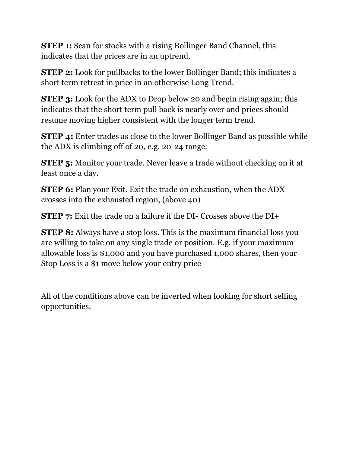**STEP 1:** Scan for stocks with a rising Bollinger Band Channel, this indicates that the prices are in an uptrend.

**STEP 2:** Look for pullbacks to the lower Bollinger Band; this indicates a short term retreat in price in an otherwise Long Trend.

**STEP 3:** Look for the ADX to Drop below 20 and begin rising again; this indicates that the short term pull back is nearly over and prices should resume moving higher consistent with the longer term trend.

**STEP 4:** Enter trades as close to the lower Bollinger Band as possible while the ADX is climbing off of 20, e.g. 20-24 range.

**STEP 5:** Monitor your trade. Never leave a trade without checking on it at least once a day.

**STEP 6:** Plan your Exit. Exit the trade on exhaustion, when the ADX crosses into the exhausted region, (above 40)

**STEP 7:** Exit the trade on a failure if the DI- Crosses above the DI+

**STEP 8:** Always have a stop loss. This is the maximum financial loss you are willing to take on any single trade or position. E.g. if your maximum allowable loss is \$1,000 and you have purchased 1,000 shares, then your Stop Loss is a \$1 move below your entry price

All of the conditions above can be inverted when looking for short selling opportunities.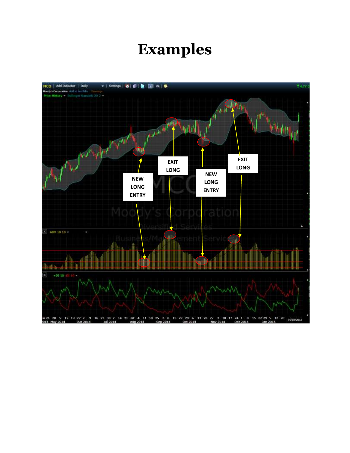### **Examples**

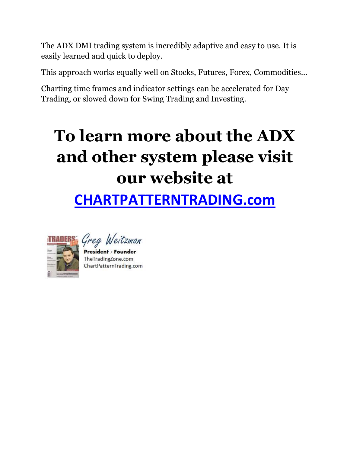The ADX DMI trading system is incredibly adaptive and easy to use. It is easily learned and quick to deploy.

This approach works equally well on Stocks, Futures, Forex, Commodities…

Charting time frames and indicator settings can be accelerated for Day Trading, or slowed down for Swing Trading and Investing.

# **To learn more about the ADX and other system please visit our website at**

## **[CHARTPATTERNTRADING.com](http://www.chartpatterntrading.com/my-bid)**



Greg Weitzman

President / Founder TheTradingZone.com ChartPatternTrading.com